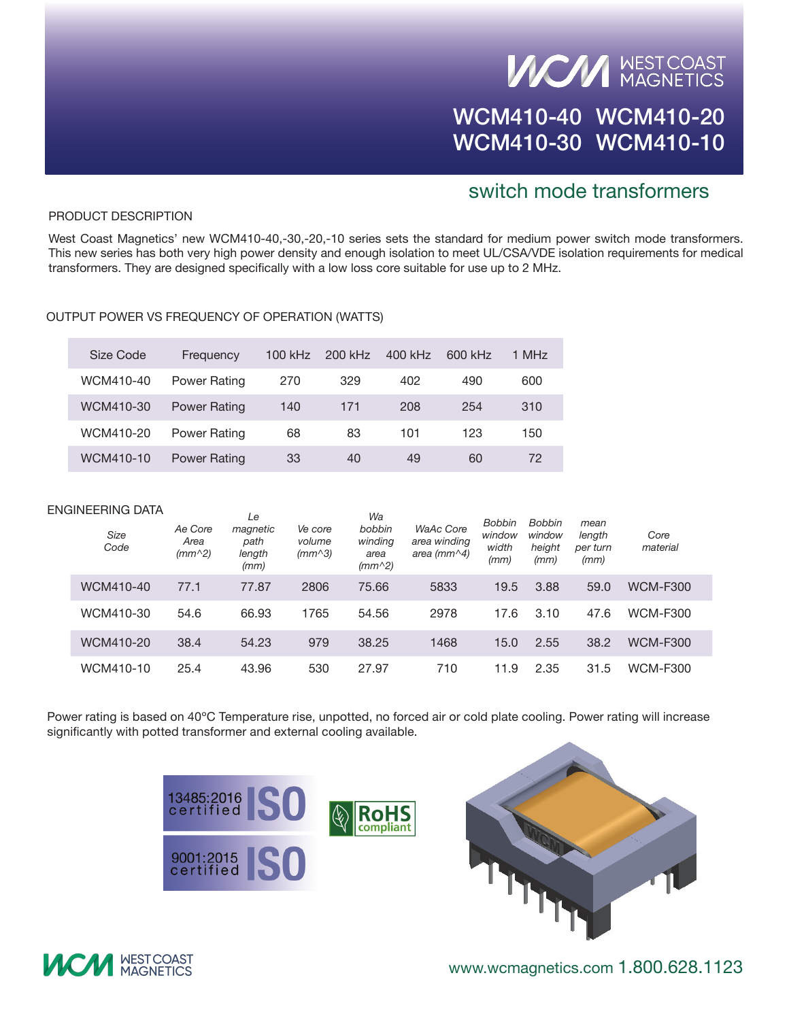## **VICAN MEST COAST**

### WCM410-40 WCM410-20 WCM410-30 WCM410-10

#### switch mode transformers

#### PRODUCT DESCRIPTION

West Coast Magnetics' new WCM410-40,-30,-20,-10 series sets the standard for medium power switch mode transformers. This new series has both very high power density and enough isolation to meet UL/CSA/VDE isolation requirements for medical transformers. They are designed specifically with a low loss core suitable for use up to 2 MHz.

#### Output Power vs Frequency of Operation (WATTS)

| Size Code | Frequency           | 100 kHz | 200 kHz | 400 kHz | 600 kHz | 1 MHz |
|-----------|---------------------|---------|---------|---------|---------|-------|
| WCM410-40 | Power Rating        | 270     | 329     | 402     | 490     | 600   |
| WCM410-30 | <b>Power Rating</b> | 140     | 171     | 208     | 254     | 310   |
| WCM410-20 | Power Rating        | 68      | 83      | 101     | 123     | 150   |
| WCM410-10 | <b>Power Rating</b> | 33      | 40      | 49      | 60      | 72    |

|  | ENGINEERING DATA<br><b>Size</b><br>Code | Ae Core<br>Area<br>$(mm^2)$ | Le<br>magnetic<br>path<br>length<br>(mm) | Ve core<br>volume<br>$(mm^3)$ | Wa<br>bobbin<br>winding<br>area<br>$(mm^2)$ | <b>WaAc Core</b><br>area winding<br>area (mm $\land$ 4) | <b>Bobbin</b><br>window<br>width<br>(mm) | <b>Bobbin</b><br>window<br>height<br>(mm) | mean<br>length<br>per turn<br>(mm) | Core<br>material |  |
|--|-----------------------------------------|-----------------------------|------------------------------------------|-------------------------------|---------------------------------------------|---------------------------------------------------------|------------------------------------------|-------------------------------------------|------------------------------------|------------------|--|
|  | WCM410-40                               | 77.1                        | 77.87                                    | 2806                          | 75.66                                       | 5833                                                    | 19.5                                     | 3.88                                      | 59.0                               | <b>WCM-F300</b>  |  |
|  | WCM410-30                               | 54.6                        | 66.93                                    | 1765                          | 54.56                                       | 2978                                                    | 17.6                                     | 3.10                                      | 47.6                               | <b>WCM-F300</b>  |  |
|  | WCM410-20                               | 38.4                        | 54.23                                    | 979                           | 38.25                                       | 1468                                                    | 15.0                                     | 2.55                                      | 38.2                               | <b>WCM-F300</b>  |  |
|  | WCM410-10                               | 25.4                        | 43.96                                    | 530                           | 27.97                                       | 710                                                     | 11.9                                     | 2.35                                      | 31.5                               | <b>WCM-F300</b>  |  |

Power rating is based on 40ºC Temperature rise, unpotted, no forced air or cold plate cooling. Power rating will increase significantly with potted transformer and external cooling available.





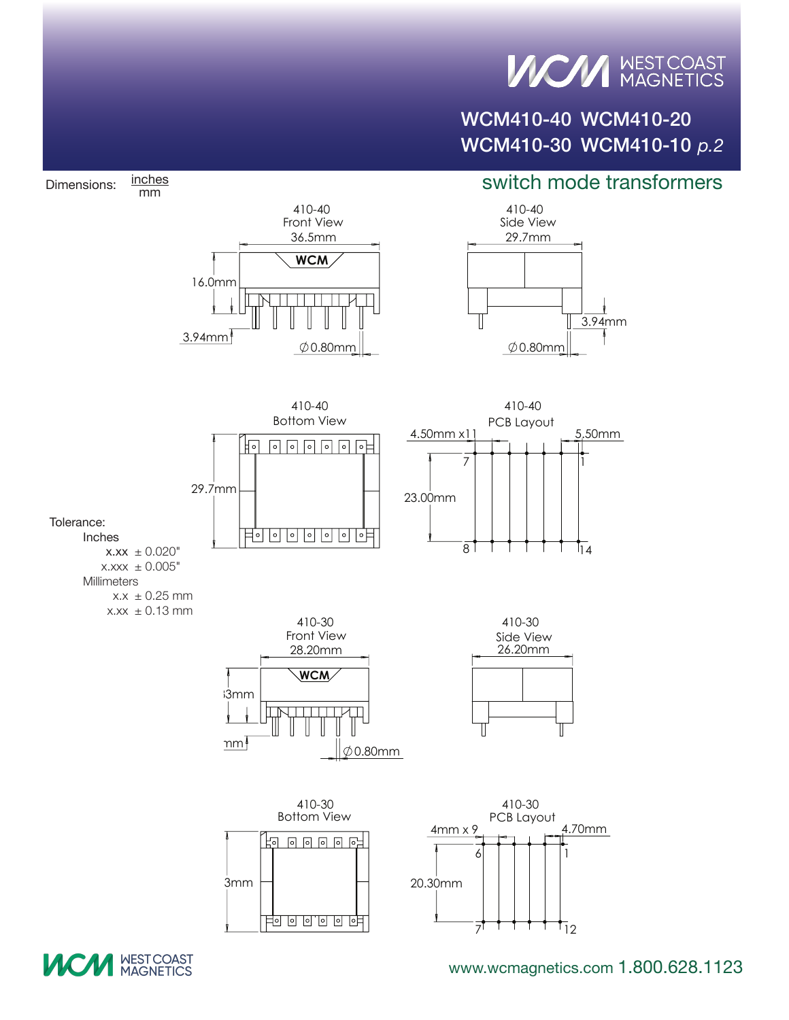## **VICAN MEST COAST**

### WCM410-40 WCM410-20 WCM410-30 WCM410-10 *p.2*

#### switch mode transformers



**UCM MEST COAST** 

Dimensions: inches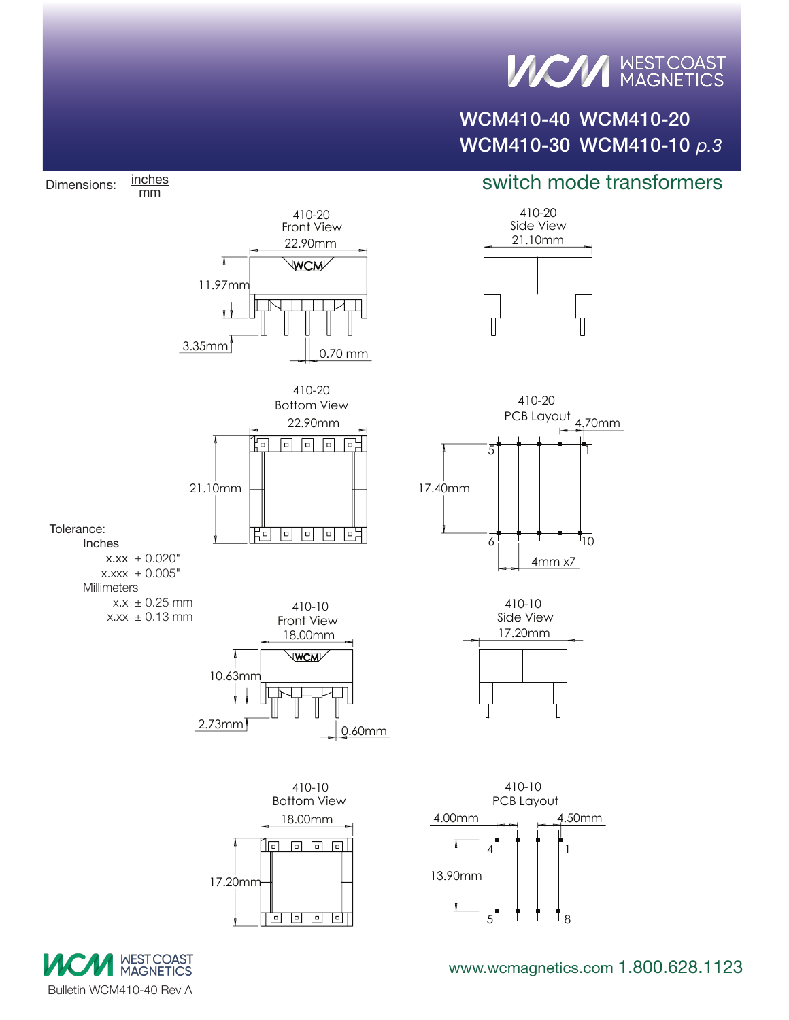## **VICAN MEST COAST**

### WCM410-40 WCM410-20 WCM410-30 WCM410-10 *p.3*

#### switch mode transformers



<u>lia a a ali</u>



Dimensions: inches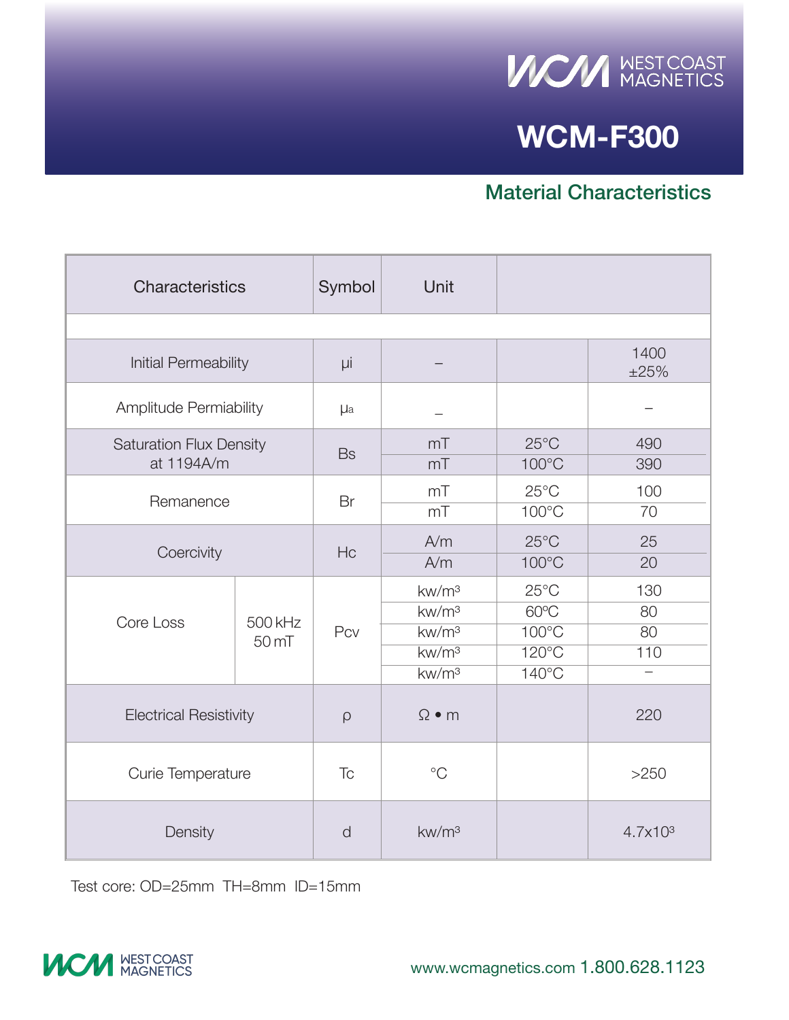

### **WCM-F300**

#### Material Characteristics

| Characteristics                              |                             | Symbol          | Unit                                                                                                  |                                                                                 |                        |
|----------------------------------------------|-----------------------------|-----------------|-------------------------------------------------------------------------------------------------------|---------------------------------------------------------------------------------|------------------------|
|                                              |                             |                 |                                                                                                       |                                                                                 |                        |
| Initial Permeability                         | μi                          |                 |                                                                                                       | 1400<br>±25%                                                                    |                        |
| Amplitude Permiability                       | <b>µ</b> a                  |                 |                                                                                                       |                                                                                 |                        |
| <b>Saturation Flux Density</b><br>at 1194A/m | <b>Bs</b>                   | mT<br>mT        | $25^{\circ}$ C<br>100°C                                                                               | 490<br>390                                                                      |                        |
| Remanence                                    |                             | Br              | mT<br>mT                                                                                              | $25^{\circ}$ C<br>$100^{\circ}$ C                                               | 100<br>70              |
| Coercivity                                   |                             | Hc              | A/m<br>A/m                                                                                            | $25^{\circ}$ C<br>$100^{\circ}$ C                                               | 25<br>20               |
| Core Loss                                    | 500 kHz<br>50 <sub>mT</sub> | Pcv             | kw/m <sup>3</sup><br>kw/m <sup>3</sup><br>kw/m <sup>3</sup><br>kw/m <sup>3</sup><br>kw/m <sup>3</sup> | $25^{\circ}$ C<br>60°C<br>$100^{\circ}$ C<br>$120^{\circ}$ C<br>$140^{\circ}$ C | 130<br>80<br>80<br>110 |
| <b>Electrical Resistivity</b>                |                             | $\rho$          | $\Omega \bullet m$                                                                                    |                                                                                 | 220                    |
| Curie Temperature                            | $\overline{C}$              | $^{\circ}$ C    |                                                                                                       | >250                                                                            |                        |
| Density                                      | d                           | $\text{kw/m}^3$ |                                                                                                       | 4.7x10 <sup>3</sup>                                                             |                        |

Test core: OD=25mm TH=8mm ID=15mm